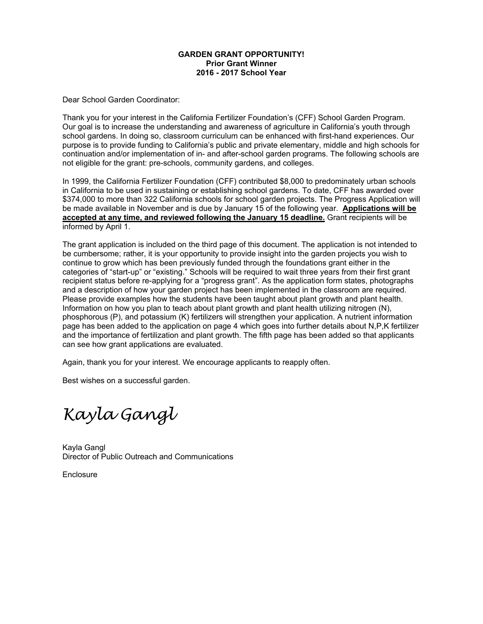#### **GARDEN GRANT OPPORTUNITY! Prior Grant Winner 2016 - 2017 School Year**

Dear School Garden Coordinator:

Thank you for your interest in the California Fertilizer Foundation's (CFF) School Garden Program. Our goal is to increase the understanding and awareness of agriculture in California's youth through school gardens. In doing so, classroom curriculum can be enhanced with first-hand experiences. Our purpose is to provide funding to California's public and private elementary, middle and high schools for continuation and/or implementation of in- and after-school garden programs. The following schools are not eligible for the grant: pre-schools, community gardens, and colleges.

In 1999, the California Fertilizer Foundation (CFF) contributed \$8,000 to predominately urban schools in California to be used in sustaining or establishing school gardens. To date, CFF has awarded over \$374,000 to more than 322 California schools for school garden projects. The Progress Application will be made available in November and is due by January 15 of the following year. **Applications will be accepted at any time, and reviewed following the January 15 deadline.** Grant recipients will be informed by April 1.

The grant application is included on the third page of this document. The application is not intended to be cumbersome; rather, it is your opportunity to provide insight into the garden projects you wish to continue to grow which has been previously funded through the foundations grant either in the categories of "start-up" or "existing." Schools will be required to wait three years from their first grant recipient status before re-applying for a "progress grant". As the application form states, photographs and a description of how your garden project has been implemented in the classroom are required. Please provide examples how the students have been taught about plant growth and plant health. Information on how you plan to teach about plant growth and plant health utilizing nitrogen (N), phosphorous (P), and potassium (K) fertilizers will strengthen your application. A nutrient information page has been added to the application on page 4 which goes into further details about N,P,K fertilizer and the importance of fertilization and plant growth. The fifth page has been added so that applicants can see how grant applications are evaluated.

Again, thank you for your interest. We encourage applicants to reapply often.

Best wishes on a successful garden.

*Kayla Gangl* 

Kayla Gangl Director of Public Outreach and Communications

Enclosure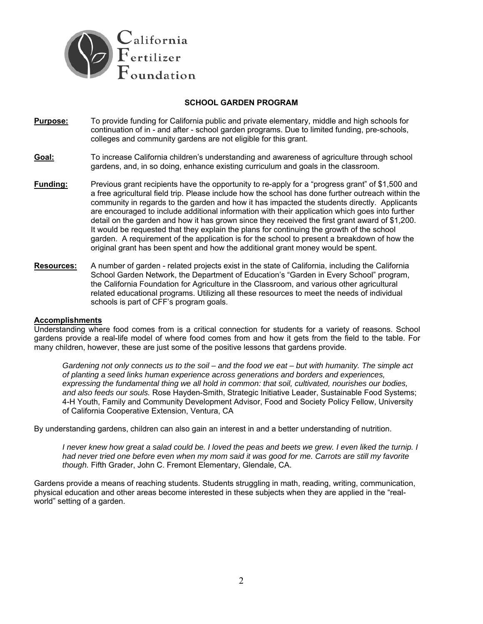

#### **SCHOOL GARDEN PROGRAM**

**Purpose:** To provide funding for California public and private elementary, middle and high schools for continuation of in - and after - school garden programs. Due to limited funding, pre-schools, colleges and community gardens are not eligible for this grant.

#### **Goal:** To increase California children's understanding and awareness of agriculture through school gardens, and, in so doing, enhance existing curriculum and goals in the classroom.

- **Funding:** Previous grant recipients have the opportunity to re-apply for a "progress grant" of \$1,500 and a free agricultural field trip. Please include how the school has done further outreach within the community in regards to the garden and how it has impacted the students directly. Applicants are encouraged to include additional information with their application which goes into further detail on the garden and how it has grown since they received the first grant award of \$1,200. It would be requested that they explain the plans for continuing the growth of the school garden. A requirement of the application is for the school to present a breakdown of how the original grant has been spent and how the additional grant money would be spent.
- **Resources:** A number of garden related projects exist in the state of California, including the California School Garden Network, the Department of Education's "Garden in Every School" program, the California Foundation for Agriculture in the Classroom, and various other agricultural related educational programs. Utilizing all these resources to meet the needs of individual schools is part of CFF's program goals.

### **Accomplishments**

Understanding where food comes from is a critical connection for students for a variety of reasons. School gardens provide a real-life model of where food comes from and how it gets from the field to the table. For many children, however, these are just some of the positive lessons that gardens provide.

*Gardening not only connects us to the soil – and the food we eat – but with humanity. The simple act of planting a seed links human experience across generations and borders and experiences, expressing the fundamental thing we all hold in common: that soil, cultivated, nourishes our bodies, and also feeds our souls.* Rose Hayden-Smith, Strategic Initiative Leader, Sustainable Food Systems; 4-H Youth, Family and Community Development Advisor, Food and Society Policy Fellow, University of California Cooperative Extension, Ventura, CA

By understanding gardens, children can also gain an interest in and a better understanding of nutrition.

*I* never knew how great a salad could be. I loved the peas and beets we grew. I even liked the turnip. I *had never tried one before even when my mom said it was good for me. Carrots are still my favorite though.* Fifth Grader, John C. Fremont Elementary, Glendale, CA.

Gardens provide a means of reaching students. Students struggling in math, reading, writing, communication, physical education and other areas become interested in these subjects when they are applied in the "realworld" setting of a garden.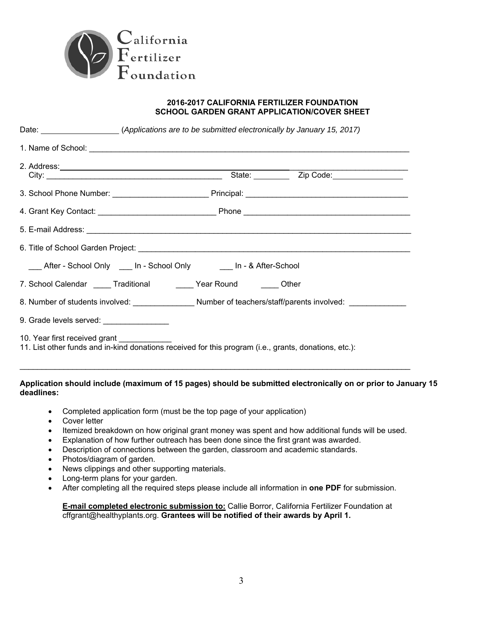

#### **2016-2017 CALIFORNIA FERTILIZER FOUNDATION SCHOOL GARDEN GRANT APPLICATION/COVER SHEET**

| Date: ________________________(Applications are to be submitted electronically by January 15, 2017)                                                                                                                            |  |  |  |  |
|--------------------------------------------------------------------------------------------------------------------------------------------------------------------------------------------------------------------------------|--|--|--|--|
|                                                                                                                                                                                                                                |  |  |  |  |
| 2. Address: 2. Address: 2. Address: 2. Address: 2. Address: 2. Address: 2. Address: 2. Address: 2. Address: 2. Address: 2. Address: 2. Address: 2. Address: 2. Address: 2. Address: 2. Address: 2. Address: 2. Address: 2. Add |  |  |  |  |
|                                                                                                                                                                                                                                |  |  |  |  |
|                                                                                                                                                                                                                                |  |  |  |  |
|                                                                                                                                                                                                                                |  |  |  |  |
|                                                                                                                                                                                                                                |  |  |  |  |
| ___ After - School Only ____ In - School Only _____ In - & After-School                                                                                                                                                        |  |  |  |  |
| 7. School Calendar _____ Traditional _______ Year Round ______ Other                                                                                                                                                           |  |  |  |  |
| 8. Number of students involved: Number of teachers/staff/parents involved:                                                                                                                                                     |  |  |  |  |
| 9. Grade levels served: ________________                                                                                                                                                                                       |  |  |  |  |
| 10. Year first received grant _____________<br>11. List other funds and in-kind donations received for this program (i.e., grants, donations, etc.):                                                                           |  |  |  |  |

## **Application should include (maximum of 15 pages) should be submitted electronically on or prior to January 15 deadlines:**

- Completed application form (must be the top page of your application)
- Cover letter
- Itemized breakdown on how original grant money was spent and how additional funds will be used.
- Explanation of how further outreach has been done since the first grant was awarded.
- Description of connections between the garden, classroom and academic standards.
- Photos/diagram of garden.
- News clippings and other supporting materials.
- Long-term plans for your garden.
- After completing all the required steps please include all information in **one PDF** for submission.

**E-mail completed electronic submission to:** Callie Borror, California Fertilizer Foundation at cffgrant@healthyplants.org. **Grantees will be notified of their awards by April 1.**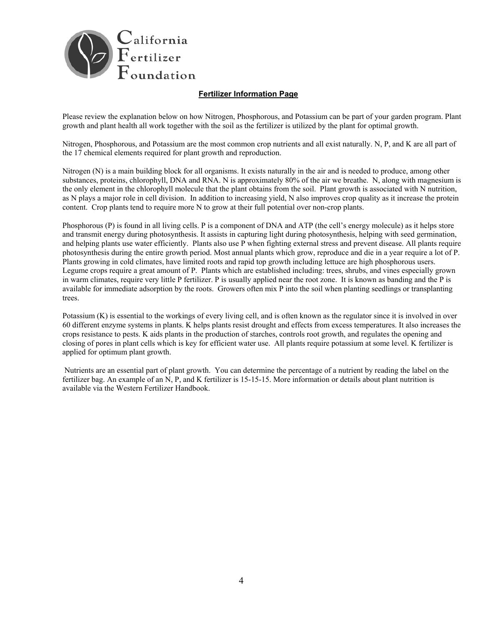

## **Fertilizer Information Page**

Please review the explanation below on how Nitrogen, Phosphorous, and Potassium can be part of your garden program. Plant growth and plant health all work together with the soil as the fertilizer is utilized by the plant for optimal growth.

Nitrogen, Phosphorous, and Potassium are the most common crop nutrients and all exist naturally. N, P, and K are all part of the 17 chemical elements required for plant growth and reproduction.

Nitrogen (N) is a main building block for all organisms. It exists naturally in the air and is needed to produce, among other substances, proteins, chlorophyll, DNA and RNA. N is approximately 80% of the air we breathe. N, along with magnesium is the only element in the chlorophyll molecule that the plant obtains from the soil. Plant growth is associated with N nutrition, as N plays a major role in cell division. In addition to increasing yield, N also improves crop quality as it increase the protein content. Crop plants tend to require more N to grow at their full potential over non-crop plants.

Phosphorous (P) is found in all living cells. P is a component of DNA and ATP (the cell's energy molecule) as it helps store and transmit energy during photosynthesis. It assists in capturing light during photosynthesis, helping with seed germination, and helping plants use water efficiently. Plants also use P when fighting external stress and prevent disease. All plants require photosynthesis during the entire growth period. Most annual plants which grow, reproduce and die in a year require a lot of P. Plants growing in cold climates, have limited roots and rapid top growth including lettuce are high phosphorous users. Legume crops require a great amount of P. Plants which are established including: trees, shrubs, and vines especially grown in warm climates, require very little P fertilizer. P is usually applied near the root zone. It is known as banding and the P is available for immediate adsorption by the roots. Growers often mix P into the soil when planting seedlings or transplanting trees.

Potassium (K) is essential to the workings of every living cell, and is often known as the regulator since it is involved in over 60 different enzyme systems in plants. K helps plants resist drought and effects from excess temperatures. It also increases the crops resistance to pests. K aids plants in the production of starches, controls root growth, and regulates the opening and closing of pores in plant cells which is key for efficient water use. All plants require potassium at some level. K fertilizer is applied for optimum plant growth.

 Nutrients are an essential part of plant growth. You can determine the percentage of a nutrient by reading the label on the fertilizer bag. An example of an N, P, and K fertilizer is 15-15-15. More information or details about plant nutrition is available via the Western Fertilizer Handbook.